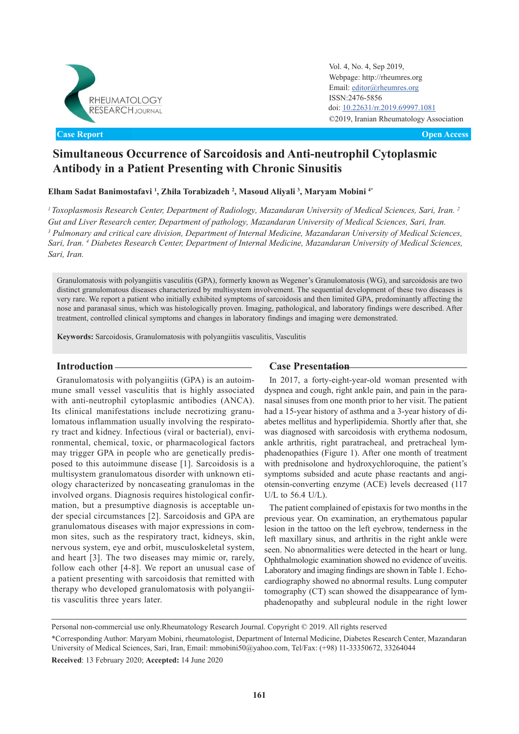

**Original Article Open Access Case Report**

Vol. 4, No. 4, Sep 2019, Webpage: http://rheumres.org Email: [editor@rheumres.org](http://editor@rheumres.org) ISSN:2476-5856 doi: doi: 10.22631/rr.2019.69997.1081 ©2019, Iranian Rheumatology Association

# **Simultaneous Occurrence of Sarcoidosis and Anti-neutrophil Cytoplasmic Antibody in a Patient Presenting with Chronic Sinusitis**

**Elham Sadat Banimostafavi <sup>1</sup> , Zhila Torabizadeh <sup>2</sup> , Masoud Aliyali <sup>3</sup> , Maryam Mobini 4\***

*<sup>1</sup>Toxoplasmosis Research Center, Department of Radiology, Mazandaran University of Medical Sciences, Sari, Iran. 2 Gut and Liver Research center, Department of pathology, Mazandaran University of Medical Sciences, Sari, Iran.* <sup>3</sup> Pulmonary and critical care division, Department of Internal Medicine, Mazandaran University of Medical Sciences, *Sari, Iran. <sup>4</sup> Diabetes Research Center, Department of Internal Medicine, Mazandaran University of Medical Sciences, Sari, Iran.*

Granulomatosis with polyangiitis vasculitis (GPA), formerly known as Wegener's Granulomatosis (WG), and sarcoidosis are two distinct granulomatous diseases characterized by multisystem involvement. The sequential development of these two diseases is very rare. We report a patient who initially exhibited symptoms of sarcoidosis and then limited GPA, predominantly affecting the nose and paranasal sinus, which was histologically proven. Imaging, pathological, and laboratory findings were described. After treatment, controlled clinical symptoms and changes in laboratory findings and imaging were demonstrated.

**Keywords:** Sarcoidosis, Granulomatosis with polyangiitis vasculitis, Vasculitis

Granulomatosis with polyangiitis (GPA) is an autoimmune small vessel vasculitis that is highly associated with anti-neutrophil cytoplasmic antibodies (ANCA). Its clinical manifestations include necrotizing granulomatous inflammation usually involving the respiratory tract and kidney. Infectious (viral or bacterial), environmental, chemical, toxic, or pharmacological factors may trigger GPA in people who are genetically predisposed to this autoimmune disease [1]. Sarcoidosis is a multisystem granulomatous disorder with unknown etiology characterized by noncaseating granulomas in the involved organs. Diagnosis requires histological confirmation, but a presumptive diagnosis is acceptable under special circumstances [2]. Sarcoidosis and GPA are granulomatous diseases with major expressions in common sites, such as the respiratory tract, kidneys, skin, nervous system, eye and orbit, musculoskeletal system, and heart [3]. The two diseases may mimic or, rarely, follow each other [4-8]. We report an unusual case of a patient presenting with sarcoidosis that remitted with therapy who developed granulomatosis with polyangiitis vasculitis three years later.

# **Introduction Case Presentation**

In 2017, a forty-eight-year-old woman presented with dyspnea and cough, right ankle pain, and pain in the paranasal sinuses from one month prior to her visit. The patient had a 15-year history of asthma and a 3-year history of diabetes mellitus and hyperlipidemia. Shortly after that, she was diagnosed with sarcoidosis with erythema nodosum, ankle arthritis, right paratracheal, and pretracheal lymphadenopathies (Figure 1). After one month of treatment with prednisolone and hydroxychloroquine, the patient's symptoms subsided and acute phase reactants and angiotensin-converting enzyme (ACE) levels decreased (117 U/L to 56.4 U/L).

The patient complained of epistaxis for two months in the previous year. On examination, an erythematous papular lesion in the tattoo on the left eyebrow, tenderness in the left maxillary sinus, and arthritis in the right ankle were seen. No abnormalities were detected in the heart or lung. Ophthalmologic examination showed no evidence of uveitis. Laboratory and imaging findings are shown in Table 1. Echocardiography showed no abnormal results. Lung computer tomography (CT) scan showed the disappearance of lymphadenopathy and subpleural nodule in the right lower

Personal non-commercial use only.Rheumatology Research Journal. Copyright © 2019. All rights reserved

\*Corresponding Author: Maryam Mobini, rheumatologist, Department of Internal Medicine, Diabetes Research Center, Mazandaran University of Medical Sciences, Sari, Iran, Email: mmobini50@yahoo.com, Tel/Fax: (+98) 11-33350672, 33264044

**Received**: 13 February 2020; **Accepted:** 14 June 2020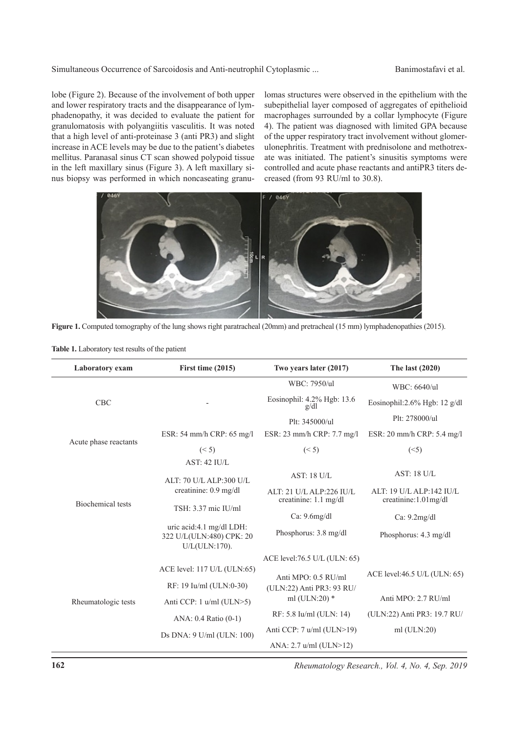#### Simultaneous Occurrence of Sarcoidosis and Anti-neutrophil Cytoplasmic ... Banimostafavi et al.

lobe (Figure 2). Because of the involvement of both upper and lower respiratory tracts and the disappearance of lymphadenopathy, it was decided to evaluate the patient for granulomatosis with polyangiitis vasculitis. It was noted that a high level of anti-proteinase 3 (anti PR3) and slight increase in ACE levels may be due to the patient's diabetes mellitus. Paranasal sinus CT scan showed polypoid tissue in the left maxillary sinus (Figure 3). A left maxillary sinus biopsy was performed in which noncaseating granulomas structures were observed in the epithelium with the subepithelial layer composed of aggregates of epithelioid macrophages surrounded by a collar lymphocyte (Figure 4). The patient was diagnosed with limited GPA because of the upper respiratory tract involvement without glomerulonephritis. Treatment with prednisolone and methotrexate was initiated. The patient's sinusitis symptoms were controlled and acute phase reactants and antiPR3 titers decreased (from 93 RU/ml to 30.8).



**Figure 1.** Computed tomography of the lung shows right paratracheal (20mm) and pretracheal (15 mm) lymphadenopathies (2015).

| Laboratory exam       | First time (2015)                                                        | Two years later (2017)                                      | The last (2020)                                  |
|-----------------------|--------------------------------------------------------------------------|-------------------------------------------------------------|--------------------------------------------------|
|                       |                                                                          | WBC: 7950/ul                                                | WBC: 6640/ul                                     |
| <b>CBC</b>            |                                                                          | Eosinophil: 4.2% Hgb: 13.6<br>g/dl                          | Eosinophil:2.6% Hgb: 12 g/dl                     |
|                       |                                                                          | Plt: 345000/ul                                              | Plt: 278000/ul                                   |
| Acute phase reactants | ESR: 54 mm/h CRP: 65 mg/l                                                | ESR: 23 mm/h CRP: 7.7 mg/l                                  | ESR: 20 mm/h CRP: 5.4 mg/l                       |
|                       | (< 5)                                                                    | (< 5)                                                       | (<5)                                             |
|                       | <b>AST: 42 IU/L</b>                                                      |                                                             |                                                  |
|                       | ALT: 70 U/L ALP:300 U/L<br>creatinine: 0.9 mg/dl                         | AST: 18 U/L                                                 | <b>AST: 18 U/L</b>                               |
|                       |                                                                          | ALT: 21 U/L ALP:226 IU/L<br>creatinine: $1.1 \text{ mg/dl}$ | ALT: 19 U/L ALP:142 IU/L<br>creatinine:1.01mg/dl |
| Biochemical tests     | TSH: 3.37 mic IU/ml                                                      |                                                             |                                                  |
|                       |                                                                          | Ca: $9.6$ mg/dl                                             | Ca: $9.2$ mg/dl                                  |
|                       | uric acid:4.1 mg/dl LDH:<br>322 U/L(ULN:480) CPK: 20<br>$U/L(ULN:170)$ . | Phosphorus: 3.8 mg/dl                                       | Phosphorus: 4.3 mg/dl                            |
|                       |                                                                          | ACE level:76.5 U/L (ULN: 65)                                |                                                  |
| Rheumatologic tests   | ACE level: 117 U/L (ULN:65)                                              | Anti MPO: 0.5 RU/ml                                         | ACE level:46.5 U/L (ULN: $65$ )                  |
|                       | RF: 19 Iu/ml (ULN:0-30)                                                  | (ULN:22) Anti PR3: 93 RU/                                   |                                                  |
|                       | Anti CCP: 1 u/ml (ULN>5)                                                 | ml (ULN:20) $*$                                             | Anti MPO: 2.7 RU/ml                              |
|                       | ANA: 0.4 Ratio (0-1)                                                     | RF: 5.8 Iu/ml (ULN: 14)                                     | (ULN:22) Anti PR3: 19.7 RU/                      |
|                       | Ds DNA: 9 U/ml (ULN: 100)                                                | Anti CCP: 7 u/ml (ULN>19)                                   | $ml$ (ULN:20)                                    |
|                       |                                                                          | ANA: 2.7 u/ml (ULN>12)                                      |                                                  |

**Table 1.** Laboratory test results of the patient

*Rheumatology Research., Vol. 4, No. 4, Sep. 2019*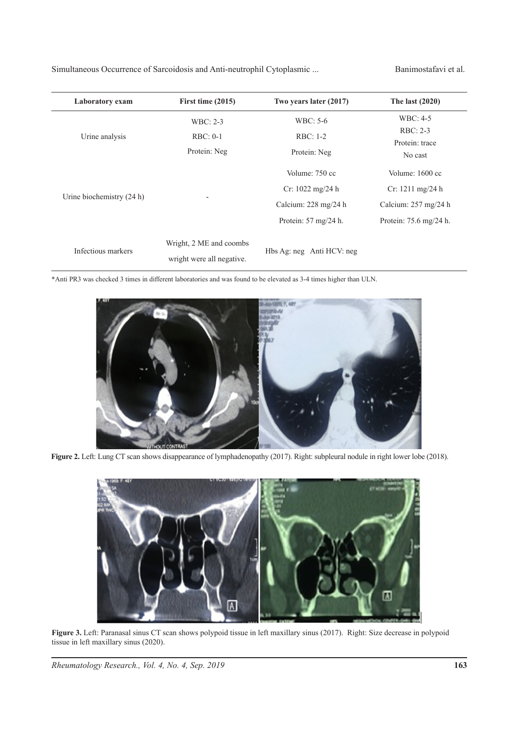Simultaneous Occurrence of Sarcoidosis and Anti-neutrophil Cytoplasmic ... Banimostafavi et al.

| Laboratory exam           | First time $(2015)$       | Two years later (2017)                  | The last $(2020)$                  |
|---------------------------|---------------------------|-----------------------------------------|------------------------------------|
| Urine analysis            | WBC: 2-3                  | WBC: 5-6                                | WBC: 4-5                           |
|                           | $RBC: 0-1$                | RBC: 1-2                                | $RBC: 2-3$                         |
|                           | Protein: Neg              | Protein: Neg                            | Protein: trace<br>No cast          |
| Urine biochemistry (24 h) |                           | Volume: 750 cc                          | Volume: 1600 cc                    |
|                           |                           | Cr: $1022 \text{ mg}/24 \text{ h}$      | $Cr: 1211 \text{ mg}/24 \text{ h}$ |
|                           |                           | Calcium: 228 mg/24 h                    | Calcium: 257 mg/24 h               |
|                           |                           | Protein: $57 \text{ mg}/24 \text{ h}$ . | Protein: 75.6 mg/24 h.             |
| Infectious markers        | Wright, 2 ME and coombs   | Hbs Ag: neg Anti HCV: neg               |                                    |
|                           | wright were all negative. |                                         |                                    |

\*Anti PR3 was checked 3 times in different laboratories and was found to be elevated as 3-4 times higher than ULN.



Figure 2. Left: Lung CT scan shows disappearance of lymphadenopathy (2017). Right: subpleural nodule in right lower lobe (2018).



**Figure 3.** Left: Paranasal sinus CT scan shows polypoid tissue in left maxillary sinus (2017). Right: Size decrease in polypoid tissue in left maxillary sinus (2020).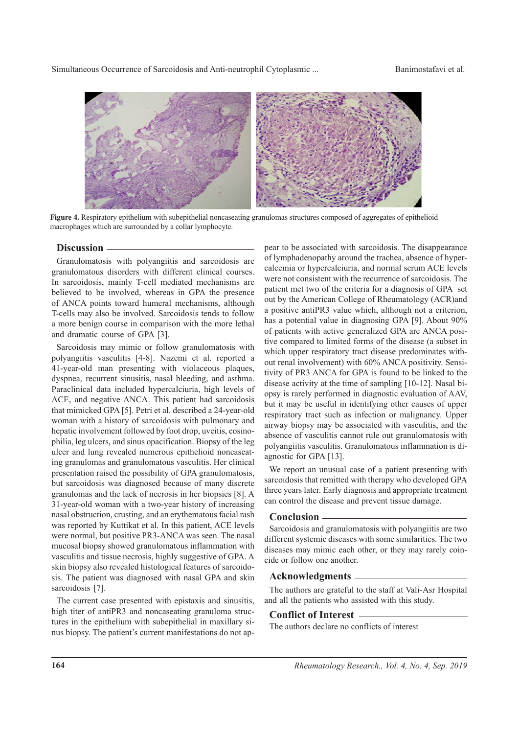Simultaneous Occurrence of Sarcoidosis and Anti-neutrophil Cytoplasmic ... Banimostafavi et al.



**Figure 4.** Respiratory epithelium with subepithelial noncaseating granulomas structures composed of aggregates of epithelioid macrophages which are surrounded by a collar lymphocyte.

# **Discussion**

Granulomatosis with polyangiitis and sarcoidosis are granulomatous disorders with different clinical courses. In sarcoidosis, mainly T-cell mediated mechanisms are believed to be involved, whereas in GPA the presence of ANCA points toward humeral mechanisms, although T-cells may also be involved. Sarcoidosis tends to follow a more benign course in comparison with the more lethal and dramatic course of GPA [3].

Sarcoidosis may mimic or follow granulomatosis with polyangiitis vasculitis [4-8]. Nazemi et al. reported a 41-year-old man presenting with violaceous plaques, dyspnea, recurrent sinusitis, nasal bleeding, and asthma. Paraclinical data included hypercalciuria, high levels of ACE, and negative ANCA. This patient had sarcoidosis that mimicked GPA [5]. Petri et al. described a 24-year-old woman with a history of sarcoidosis with pulmonary and hepatic involvement followed by foot drop, uveitis, eosinophilia, leg ulcers, and sinus opacification. Biopsy of the leg ulcer and lung revealed numerous epithelioid noncaseating granulomas and granulomatous vasculitis. Her clinical presentation raised the possibility of GPA granulomatosis, but sarcoidosis was diagnosed because of many discrete granulomas and the lack of necrosis in her biopsies [8]. A 31-year-old woman with a two-year history of increasing nasal obstruction, crusting, and an erythematous facial rash was reported by Kuttikat et al. In this patient, ACE levels were normal, but positive PR3-ANCA was seen. The nasal mucosal biopsy showed granulomatous inflammation with vasculitis and tissue necrosis, highly suggestive of GPA. A skin biopsy also revealed histological features of sarcoidosis. The patient was diagnosed with nasal GPA and skin sarcoidosis [7].

The current case presented with epistaxis and sinusitis, high titer of antiPR3 and noncaseating granuloma structures in the epithelium with subepithelial in maxillary sinus biopsy. The patient's current manifestations do not appear to be associated with sarcoidosis. The disappearance of lymphadenopathy around the trachea, absence of hypercalcemia or hypercalciuria, and normal serum ACE levels were not consistent with the recurrence of sarcoidosis. The patient met two of the criteria for a diagnosis of GPA set out by the American College of Rheumatology (ACR)and a positive antiPR3 value which, although not a criterion, has a potential value in diagnosing GPA [9]. About 90% of patients with active generalized GPA are ANCA positive compared to limited forms of the disease (a subset in which upper respiratory tract disease predominates without renal involvement) with 60% ANCA positivity. Sensitivity of PR3 ANCA for GPA is found to be linked to the disease activity at the time of sampling [10-12]. Nasal biopsy is rarely performed in diagnostic evaluation of AAV, but it may be useful in identifying other causes of upper respiratory tract such as infection or malignancy. Upper airway biopsy may be associated with vasculitis, and the absence of vasculitis cannot rule out granulomatosis with polyangiitis vasculitis. Granulomatous inflammation is diagnostic for GPA [13].

We report an unusual case of a patient presenting with sarcoidosis that remitted with therapy who developed GPA three years later. Early diagnosis and appropriate treatment can control the disease and prevent tissue damage.

### **Conclusion**

Sarcoidosis and granulomatosis with polyangiitis are two different systemic diseases with some similarities. The two diseases may mimic each other, or they may rarely coincide or follow one another.

## **Acknowledgments**

The authors are grateful to the staff at Vali-Asr Hospital and all the patients who assisted with this study.

# **Conflict of Interest**

The authors declare no conflicts of interest